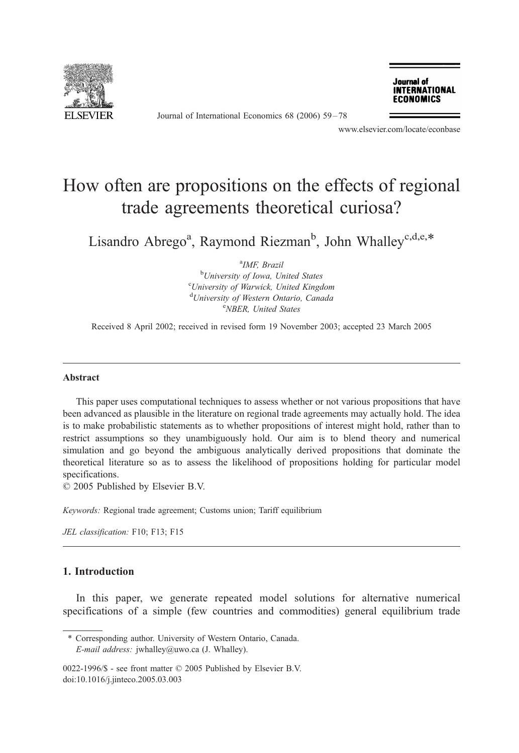

Journal of International Economics 68 (2006) 59 – 78

Journal of **INTERNATIONAL ECONOMICS** 

www.elsevier.com/locate/econbase

## How often are propositions on the effects of regional trade agreements theoretical curiosa?

Lisandro Abrego<sup>a</sup>, Raymond Riezman<sup>b</sup>, John Whalley<sup>c,d,e,\*</sup>

<sup>a</sup>IMF, Brazil <sup>b</sup>University of Iowa, United States <sup>c</sup>University of Warwick, United Kingdom <sup>d</sup>University of Western Ontario, Canada NBER, United States

Received 8 April 2002; received in revised form 19 November 2003; accepted 23 March 2005

## Abstract

This paper uses computational techniques to assess whether or not various propositions that have been advanced as plausible in the literature on regional trade agreements may actually hold. The idea is to make probabilistic statements as to whether propositions of interest might hold, rather than to restrict assumptions so they unambiguously hold. Our aim is to blend theory and numerical simulation and go beyond the ambiguous analytically derived propositions that dominate the theoretical literature so as to assess the likelihood of propositions holding for particular model specifications.

 $© 2005$  Published by Elsevier B.V.

Keywords: Regional trade agreement; Customs union; Tariff equilibrium

JEL classification: F10; F13; F15

## 1. Introduction

In this paper, we generate repeated model solutions for alternative numerical specifications of a simple (few countries and commodities) general equilibrium trade

<sup>\*</sup> Corresponding author. University of Western Ontario, Canada. E-mail address: jwhalley@uwo.ca (J. Whalley).

<sup>0022-1996/\$ -</sup> see front matter © 2005 Published by Elsevier B.V. doi:10.1016/j.jinteco.2005.03.003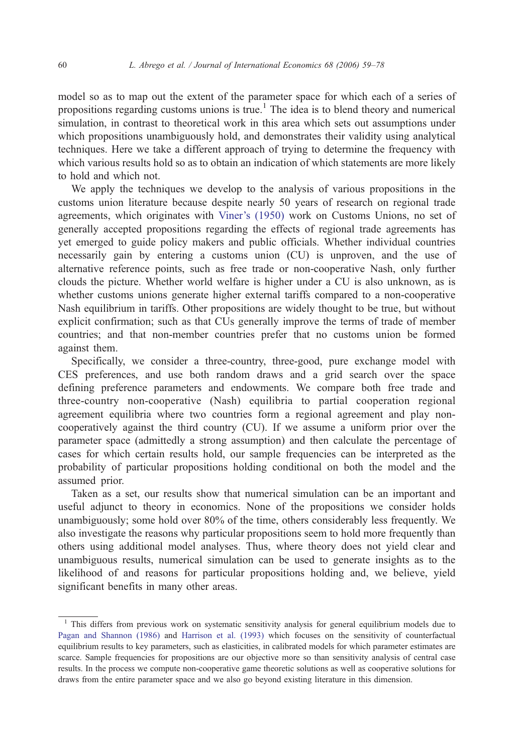model so as to map out the extent of the parameter space for which each of a series of propositions regarding customs unions is true.<sup>1</sup> The idea is to blend theory and numerical simulation, in contrast to theoretical work in this area which sets out assumptions under which propositions unambiguously hold, and demonstrates their validity using analytical techniques. Here we take a different approach of trying to determine the frequency with which various results hold so as to obtain an indication of which statements are more likely to hold and which not.

We apply the techniques we develop to the analysis of various propositions in the customs union literature because despite nearly 50 years of research on regional trade agreements, which originates with [Viner's \(1950\)](#page--1-0) work on Customs Unions, no set of generally accepted propositions regarding the effects of regional trade agreements has yet emerged to guide policy makers and public officials. Whether individual countries necessarily gain by entering a customs union (CU) is unproven, and the use of alternative reference points, such as free trade or non-cooperative Nash, only further clouds the picture. Whether world welfare is higher under a CU is also unknown, as is whether customs unions generate higher external tariffs compared to a non-cooperative Nash equilibrium in tariffs. Other propositions are widely thought to be true, but without explicit confirmation; such as that CUs generally improve the terms of trade of member countries; and that non-member countries prefer that no customs union be formed against them.

Specifically, we consider a three-country, three-good, pure exchange model with CES preferences, and use both random draws and a grid search over the space defining preference parameters and endowments. We compare both free trade and three-country non-cooperative (Nash) equilibria to partial cooperation regional agreement equilibria where two countries form a regional agreement and play noncooperatively against the third country (CU). If we assume a uniform prior over the parameter space (admittedly a strong assumption) and then calculate the percentage of cases for which certain results hold, our sample frequencies can be interpreted as the probability of particular propositions holding conditional on both the model and the assumed prior.

Taken as a set, our results show that numerical simulation can be an important and useful adjunct to theory in economics. None of the propositions we consider holds unambiguously; some hold over 80% of the time, others considerably less frequently. We also investigate the reasons why particular propositions seem to hold more frequently than others using additional model analyses. Thus, where theory does not yield clear and unambiguous results, numerical simulation can be used to generate insights as to the likelihood of and reasons for particular propositions holding and, we believe, yield significant benefits in many other areas.

<sup>&</sup>lt;sup>1</sup> This differs from previous work on systematic sensitivity analysis for general equilibrium models due to [Pagan and Shannon \(1986\)](#page--1-0) and [Harrison et al. \(1993\)](#page--1-0) which focuses on the sensitivity of counterfactual equilibrium results to key parameters, such as elasticities, in calibrated models for which parameter estimates are scarce. Sample frequencies for propositions are our objective more so than sensitivity analysis of central case results. In the process we compute non-cooperative game theoretic solutions as well as cooperative solutions for draws from the entire parameter space and we also go beyond existing literature in this dimension.